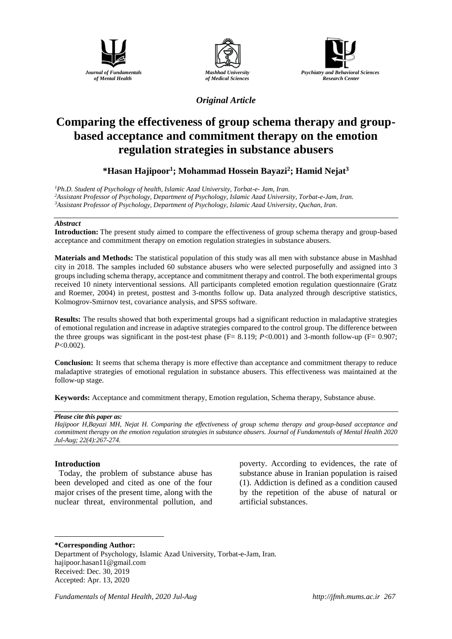





## *Original Article*

# **Comparing the effectiveness of group schema therapy and groupbased acceptance and commitment therapy on the emotion regulation strategies in substance abusers**

**\*Hasan Hajipoor<sup>1</sup> ; Mohammad Hossein Bayazi<sup>2</sup> ; Hamid Nejat<sup>3</sup>**

*<sup>1</sup>Ph.D. Student of Psychology of health, Islamic Azad University, Torbat-e- Jam, Iran. <sup>2</sup>Assistant Professor of Psychology, Department of Psychology, Islamic Azad University, Torbat-e-Jam, Iran. <sup>3</sup>Assistant Professor of Psychology, Department of Psychology, Islamic Azad University, Quchan, Iran.*

#### *Abstract*

**Introduction:** The present study aimed to compare the effectiveness of group schema therapy and group-based acceptance and commitment therapy on emotion regulation strategies in substance abusers.

**Materials and Methods:** The statistical population of this study was all men with substance abuse in Mashhad city in 2018. The samples included 60 substance abusers who were selected purposefully and assigned into 3 groups including schema therapy, acceptance and commitment therapy and control. The both experimental groups received 10 ninety interventional sessions. All participants completed emotion regulation questionnaire (Gratz and Roemer, 2004) in pretest, posttest and 3-months follow up. Data analyzed through descriptive statistics, Kolmogrov-Smirnov test, covariance analysis, and SPSS software.

**Results:** The results showed that both experimental groups had a significant reduction in maladaptive strategies of emotional regulation and increase in adaptive strategies compared to the control group. The difference between the three groups was significant in the post-test phase  $(F= 8.119; P<0.001)$  and 3-month follow-up  $(F= 0.907;$ *P*<0.002).

**Conclusion:** It seems that schema therapy is more effective than acceptance and commitment therapy to reduce maladaptive strategies of emotional regulation in substance abusers. This effectiveness was maintained at the follow-up stage.

**Keywords:** Acceptance and commitment therapy, Emotion regulation, Schema therapy, Substance abuse.

#### *Please cite this paper as:*

*Hajipoor H,Bayazi MH, Nejat H. Comparing the effectiveness of group schema therapy and group-based acceptance and commitment therapy on the emotion regulation strategies in substance abusers. Journal of Fundamentals of Mental Health 2020 Jul-Aug; 22(4):267-274.*

#### **Introduction**

<u>.</u>

Today, the problem of substance abuse has been developed and cited as one of the four major crises of the present time, along with the nuclear threat, environmental pollution, and poverty. According to evidences, the rate of substance abuse in Iranian population is raised (1). Addiction is defined as a condition caused by the repetition of the abuse of natural or artificial substances.

#### **\*Corresponding Author:**

Department of Psychology, Islamic Azad University, Torbat-e-Jam, Iran. [hajipoor.hasan11@gmail.com](mailto:hajipoor.hasan11@gmail.com) Received: Dec. 30, 2019 Accepted: Apr. 13, 2020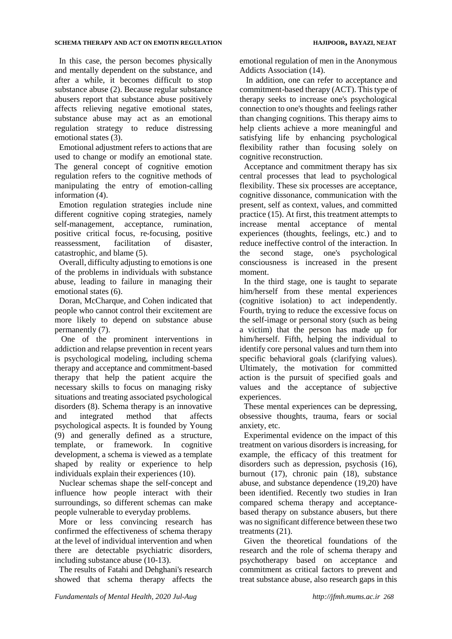#### **SCHEMA THERAPY AND ACT ON EMOTIN REGULATION HAJIPOOR, BAYAZI, NEJAT**

In this case, the person becomes physically and mentally dependent on the substance, and after a while, it becomes difficult to stop substance abuse (2). Because regular substance abusers report that substance abuse positively affects relieving negative emotional states, substance abuse may act as an emotional regulation strategy to reduce distressing emotional states (3).

Emotional adjustment refers to actions that are used to change or modify an emotional state. The general concept of cognitive emotion regulation refers to the cognitive methods of manipulating the entry of emotion-calling information (4).

Emotion regulation strategies include nine different cognitive coping strategies, namely self-management, acceptance, rumination, positive critical focus, re-focusing, positive reassessment, facilitation of disaster, catastrophic, and blame (5).

Overall, difficulty adjusting to emotions is one of the problems in individuals with substance abuse, leading to failure in managing their emotional states (6).

Doran, McCharque, and Cohen indicated that people who cannot control their excitement are more likely to depend on substance abuse permanently (7).

One of the prominent interventions in addiction and relapse prevention in recent years is psychological modeling, including schema therapy and acceptance and commitment-based therapy that help the patient acquire the necessary skills to focus on managing risky situations and treating associated psychological disorders (8). Schema therapy is an innovative and integrated method that affects psychological aspects. It is founded by Young (9) and generally defined as a structure, template, or framework. In cognitive development, a schema is viewed as a template shaped by reality or experience to help individuals explain their experiences (10).

Nuclear schemas shape the self-concept and influence how people interact with their surroundings, so different schemas can make people vulnerable to everyday problems.

More or less convincing research has confirmed the effectiveness of schema therapy at the level of individual intervention and when there are detectable psychiatric disorders, including substance abuse (10-13).

The results of Fatahi and Dehghani's research showed that schema therapy affects the emotional regulation of men in the Anonymous Addicts Association (14).

In addition, one can refer to acceptance and commitment-based therapy (ACT). This type of therapy seeks to increase one's psychological connection to one's thoughts and feelings rather than changing cognitions. This therapy aims to help clients achieve a more meaningful and satisfying life by enhancing psychological flexibility rather than focusing solely on cognitive reconstruction.

Acceptance and commitment therapy has six central processes that lead to psychological flexibility. These six processes are acceptance, cognitive dissonance, communication with the present, self as context, values, and committed practice (15). At first, this treatment attempts to increase mental acceptance of mental experiences (thoughts, feelings, etc.) and to reduce ineffective control of the interaction. In the second stage, one's psychological consciousness is increased in the present moment.

In the third stage, one is taught to separate him/herself from these mental experiences (cognitive isolation) to act independently. Fourth, trying to reduce the excessive focus on the self-image or personal story (such as being a victim) that the person has made up for him/herself. Fifth, helping the individual to identify core personal values and turn them into specific behavioral goals (clarifying values). Ultimately, the motivation for committed action is the pursuit of specified goals and values and the acceptance of subjective experiences.

These mental experiences can be depressing, obsessive thoughts, trauma, fears or social anxiety, etc.

Experimental evidence on the impact of this treatment on various disorders is increasing, for example, the efficacy of this treatment for disorders such as depression, psychosis (16), burnout (17), chronic pain (18), substance abuse, and substance dependence (19,20) have been identified. Recently two studies in Iran compared schema therapy and acceptancebased therapy on substance abusers, but there was no significant difference between these two treatments (21).

Given the theoretical foundations of the research and the role of schema therapy and psychotherapy based on acceptance and commitment as critical factors to prevent and treat substance abuse, also research gaps in this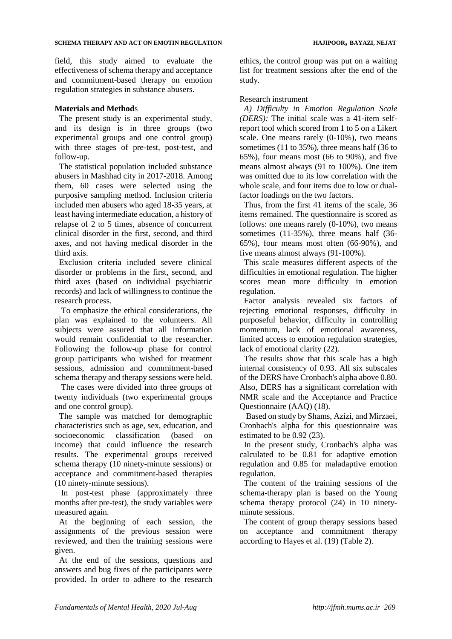field, this study aimed to evaluate the effectiveness of schema therapy and acceptance and commitment-based therapy on emotion regulation strategies in substance abusers.

### **Materials and Method**s

The present study is an experimental study, and its design is in three groups (two experimental groups and one control group) with three stages of pre-test, post-test, and follow-up.

The statistical population included substance abusers in Mashhad city in 2017-2018. Among them, 60 cases were selected using the purposive sampling method. Inclusion criteria included men abusers who aged 18-35 years, at least having intermediate education, a history of relapse of 2 to 5 times, absence of concurrent clinical disorder in the first, second, and third axes, and not having medical disorder in the third axis.

Exclusion criteria included severe clinical disorder or problems in the first, second, and third axes (based on individual psychiatric records) and lack of willingness to continue the research process.

To emphasize the ethical considerations, the plan was explained to the volunteers. All subjects were assured that all information would remain confidential to the researcher. Following the follow-up phase for control group participants who wished for treatment sessions, admission and commitment-based schema therapy and therapy sessions were held.

The cases were divided into three groups of twenty individuals (two experimental groups and one control group).

The sample was matched for demographic characteristics such as age, sex, education, and socioeconomic classification (based on income) that could influence the research results. The experimental groups received schema therapy (10 ninety-minute sessions) or acceptance and commitment-based therapies (10 ninety-minute sessions).

In post-test phase (approximately three months after pre-test), the study variables were measured again.

At the beginning of each session, the assignments of the previous session were reviewed, and then the training sessions were given.

At the end of the sessions, questions and answers and bug fixes of the participants were provided. In order to adhere to the research ethics, the control group was put on a waiting list for treatment sessions after the end of the study.

#### Research instrument

*A) Difficulty in Emotion Regulation Scale (DERS):* The initial scale was a 41-item selfreport tool which scored from 1 to 5 on a Likert scale. One means rarely (0-10%), two means sometimes (11 to 35%), three means half (36 to 65%), four means most (66 to 90%), and five means almost always (91 to 100%). One item was omitted due to its low correlation with the whole scale, and four items due to low or dualfactor loadings on the two factors.

Thus, from the first 41 items of the scale, 36 items remained. The questionnaire is scored as follows: one means rarely (0-10%), two means sometimes (11-35%), three means half (36-65%), four means most often (66-90%), and five means almost always (91-100%).

This scale measures different aspects of the difficulties in emotional regulation. The higher scores mean more difficulty in emotion regulation.

Factor analysis revealed six factors of rejecting emotional responses, difficulty in purposeful behavior, difficulty in controlling momentum, lack of emotional awareness, limited access to emotion regulation strategies, lack of emotional clarity (22).

The results show that this scale has a high internal consistency of 0.93. All six subscales of the DERS have Cronbach's alpha above 0.80. Also, DERS has a significant correlation with NMR scale and the Acceptance and Practice Questionnaire (AAQ) (18).

Based on study by Shams, Azizi, and Mirzaei, Cronbach's alpha for this questionnaire was estimated to be 0.92 (23).

In the present study, Cronbach's alpha was calculated to be 0.81 for adaptive emotion regulation and 0.85 for maladaptive emotion regulation.

The content of the training sessions of the schema-therapy plan is based on the Young schema therapy protocol (24) in 10 ninetyminute sessions.

The content of group therapy sessions based on acceptance and commitment therapy according to Hayes et al. (19) (Table 2).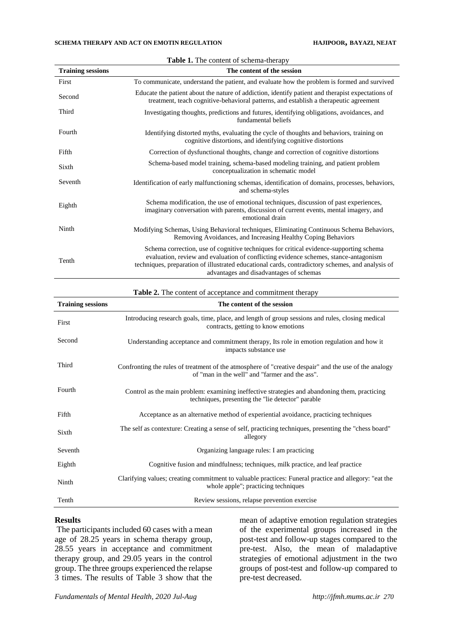| <b>Training sessions</b> | The content of the session                                                                                                                                                                                                                                                                                                    |
|--------------------------|-------------------------------------------------------------------------------------------------------------------------------------------------------------------------------------------------------------------------------------------------------------------------------------------------------------------------------|
| First                    | To communicate, understand the patient, and evaluate how the problem is formed and survived                                                                                                                                                                                                                                   |
| Second                   | Educate the patient about the nature of addiction, identify patient and therapist expectations of<br>treatment, teach cognitive-behavioral patterns, and establish a therapeutic agreement                                                                                                                                    |
| Third                    | Investigating thoughts, predictions and futures, identifying obligations, avoidances, and<br>fundamental beliefs                                                                                                                                                                                                              |
| Fourth                   | Identifying distorted myths, evaluating the cycle of thoughts and behaviors, training on<br>cognitive distortions, and identifying cognitive distortions                                                                                                                                                                      |
| Fifth                    | Correction of dysfunctional thoughts, change and correction of cognitive distortions                                                                                                                                                                                                                                          |
| Sixth                    | Schema-based model training, schema-based modeling training, and patient problem<br>conceptualization in schematic model                                                                                                                                                                                                      |
| Seventh                  | Identification of early malfunctioning schemas, identification of domains, processes, behaviors,<br>and schema-styles                                                                                                                                                                                                         |
| Eighth                   | Schema modification, the use of emotional techniques, discussion of past experiences,<br>imaginary conversation with parents, discussion of current events, mental imagery, and<br>emotional drain                                                                                                                            |
| Ninth                    | Modifying Schemas, Using Behavioral techniques, Eliminating Continuous Schema Behaviors,<br>Removing Avoidances, and Increasing Healthy Coping Behaviors                                                                                                                                                                      |
| Tenth                    | Schema correction, use of cognitive techniques for critical evidence-supporting schema<br>evaluation, review and evaluation of conflicting evidence schemes, stance-antagonism<br>techniques, preparation of illustrated educational cards, contradictory schemes, and analysis of<br>advantages and disadvantages of schemas |

|  |  | Table 1. The content of schema-therapy |  |  |  |
|--|--|----------------------------------------|--|--|--|
|--|--|----------------------------------------|--|--|--|

| Table 2. The content of acceptance and commitment therapy |  |  |
|-----------------------------------------------------------|--|--|
|                                                           |  |  |

| <b>Training sessions</b> | The content of the session                                                                                                                              |
|--------------------------|---------------------------------------------------------------------------------------------------------------------------------------------------------|
| First                    | Introducing research goals, time, place, and length of group sessions and rules, closing medical<br>contracts, getting to know emotions                 |
| Second                   | Understanding acceptance and commitment therapy, Its role in emotion regulation and how it<br>impacts substance use                                     |
| Third                    | Confronting the rules of treatment of the atmosphere of "creative despair" and the use of the analogy<br>of "man in the well" and "farmer and the ass". |
| Fourth                   | Control as the main problem: examining ineffective strategies and abandoning them, practicing<br>techniques, presenting the "lie detector" parable      |
| Fifth                    | Acceptance as an alternative method of experiential avoidance, practicing techniques                                                                    |
| Sixth                    | The self as contexture: Creating a sense of self, practicing techniques, presenting the "chess board"<br>allegory                                       |
| Seventh                  | Organizing language rules: I am practicing                                                                                                              |
| Eighth                   | Cognitive fusion and mindfulness; techniques, milk practice, and leaf practice                                                                          |
| Ninth                    | Clarifying values; creating commitment to valuable practices: Funeral practice and allegory: "eat the<br>whole apple"; practicing techniques            |
| Tenth                    | Review sessions, relapse prevention exercise                                                                                                            |

#### **Results**

The participants included 60 cases with a mean age of 28.25 years in schema therapy group, 28.55 years in acceptance and commitment therapy group, and 29.05 years in the control group. The three groups experienced the relapse 3 times. The results of Table 3 show that the

mean of adaptive emotion regulation strategies of the experimental groups increased in the post-test and follow-up stages compared to the pre-test. Also, the mean of maladaptive strategies of emotional adjustment in the two groups of post-test and follow-up compared to pre-test decreased.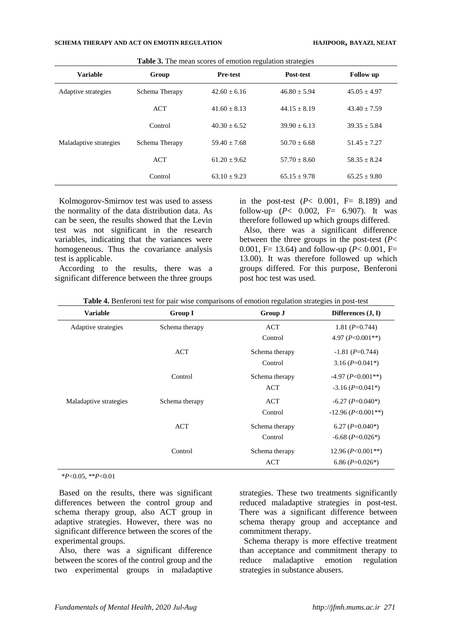| <b>Variable</b>        | Group          | $\circ$<br><b>Pre-test</b> | $\circ$<br>Post-test | <b>Follow</b> up |
|------------------------|----------------|----------------------------|----------------------|------------------|
| Adaptive strategies    | Schema Therapy | $42.60 + 6.16$             | $46.80 \pm 5.94$     | $45.05 \pm 4.97$ |
|                        | <b>ACT</b>     | $41.60 + 8.13$             | $44.15 + 8.19$       | $43.40 \pm 7.59$ |
|                        | Control        | $40.30 + 6.52$             | $39.90 + 6.13$       | $39.35 + 5.84$   |
| Maladaptive strategies | Schema Therapy | $59.40 + 7.68$             | $50.70 + 6.68$       | $51.45 + 7.27$   |
|                        | <b>ACT</b>     | $61.20 + 9.62$             | $57.70 + 8.60$       | $58.35 + 8.24$   |
|                        | Control        | $63.10 + 9.23$             | $65.15 \pm 9.78$     | $65.25 \pm 9.80$ |

**Table 3.** The mean scores of emotion regulation strategies

Kolmogorov-Smirnov test was used to assess the normality of the data distribution data. As can be seen, the results showed that the Levin test was not significant in the research variables, indicating that the variances were homogeneous. Thus the covariance analysis test is applicable.

According to the results, there was a significant difference between the three groups in the post-test  $(P< 0.001$ ,  $F = 8.189$  and follow-up ( $P < 0.002$ ,  $F = 6.907$ ). It was therefore followed up which groups differed.

Also, there was a significant difference between the three groups in the post-test (*P*< 0.001, F= 13.64) and follow-up ( $P < 0.001$ , F= 13.00). It was therefore followed up which groups differed. For this purpose, Benferoni post hoc test was used.

|  | <b>Table 4.</b> Benferoni test for pair wise comparisons of emotion regulation strategies in post-test |  |  |  |  |  |  |
|--|--------------------------------------------------------------------------------------------------------|--|--|--|--|--|--|
|--|--------------------------------------------------------------------------------------------------------|--|--|--|--|--|--|

| <b>Variable</b>        | <b>Group I</b> | Group J        | Differences $(J, I)$     |
|------------------------|----------------|----------------|--------------------------|
| Adaptive strategies    | Schema therapy | ACT            | 1.81 $(P=0.744)$         |
|                        |                | Control        | 4.97 $(P<0.001**)$       |
|                        | ACT            | Schema therapy | $-1.81$ (P=0.744)        |
|                        |                | Control        | 3.16 $(P=0.041*)$        |
|                        | Control        | Schema therapy | $-4.97$ ( $P<0.001**$ )  |
|                        |                | <b>ACT</b>     | $-3.16$ (P=0.041*)       |
| Maladaptive strategies | Schema therapy | ACT            | $-6.27$ (P=0.040*)       |
|                        |                | Control        | $-12.96$ ( $P<0.001**$ ) |
|                        | ACT            | Schema therapy | 6.27 ( $P=0.040*$ )      |
|                        |                | Control        | $-6.68$ ( $P=0.026^*$ )  |
|                        | Control        | Schema therapy | 12.96 $(P<0.001**)$      |
|                        |                | <b>ACT</b>     | 6.86 $(P=0.026*)$        |

\**P*<0.05, \*\**P*<0.01

Based on the results, there was significant differences between the control group and schema therapy group, also ACT group in adaptive strategies. However, there was no significant difference between the scores of the experimental groups.

Also, there was a significant difference between the scores of the control group and the two experimental groups in maladaptive strategies. These two treatments significantly reduced maladaptive strategies in post-test. There was a significant difference between schema therapy group and acceptance and commitment therapy.

Schema therapy is more effective treatment than acceptance and commitment therapy to reduce maladaptive emotion regulation strategies in substance abusers.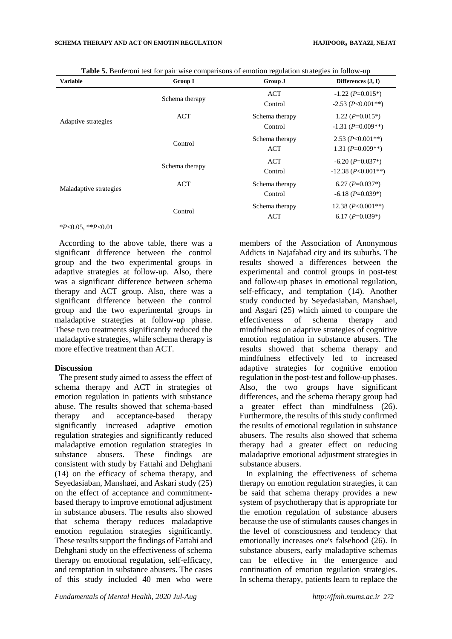| <b>Variable</b>        | <b>Group I</b> | Group J        | Differences $(J, I)$            |
|------------------------|----------------|----------------|---------------------------------|
|                        | Schema therapy | <b>ACT</b>     | $-1.22$ (P=0.015 <sup>*</sup> ) |
|                        |                | Control        | $-2.53$ ( $P<0.001**$ )         |
| Adaptive strategies    | <b>ACT</b>     | Schema therapy | 1.22 $(P=0.015*)$               |
|                        |                | Control        | $-1.31$ ( $P=0.009**$ )         |
|                        | Control        | Schema therapy | 2.53 $(P<0.001**)$              |
|                        |                | <b>ACT</b>     | 1.31 $(P=0.009**)$              |
|                        | Schema therapy | <b>ACT</b>     | $-6.20$ (P=0.037*)              |
|                        |                | Control        | $-12.38$ ( <i>P</i> <0.001**)   |
| Maladaptive strategies | <b>ACT</b>     | Schema therapy | 6.27 $(P=0.037*)$               |
|                        |                | Control        | $-6.18$ ( $P=0.039*$ )          |
|                        | Control        | Schema therapy | 12.38 $(P<0.001**)$             |
|                        |                | <b>ACT</b>     | 6.17 $(P=0.039*)$               |

**Table 5.** Benferoni test for pair wise comparisons of emotion regulation strategies in follow-up

\**P*<0.05, \*\**P*<0.01

According to the above table, there was a significant difference between the control group and the two experimental groups in adaptive strategies at follow-up. Also, there was a significant difference between schema therapy and ACT group. Also, there was a significant difference between the control group and the two experimental groups in maladaptive strategies at follow-up phase. These two treatments significantly reduced the maladaptive strategies, while schema therapy is more effective treatment than ACT.

#### **Discussion**

The present study aimed to assess the effect of schema therapy and ACT in strategies of emotion regulation in patients with substance abuse. The results showed that schema-based therapy and acceptance-based therapy significantly increased adaptive emotion regulation strategies and significantly reduced maladaptive emotion regulation strategies in substance abusers. These findings are consistent with study by Fattahi and Dehghani (14) on the efficacy of schema therapy, and Seyedasiaban, Manshaei, and Askari study (25) on the effect of acceptance and commitmentbased therapy to improve emotional adjustment in substance abusers. The results also showed that schema therapy reduces maladaptive emotion regulation strategies significantly. These results support the findings of Fattahi and Dehghani study on the effectiveness of schema therapy on emotional regulation, self-efficacy, and temptation in substance abusers. The cases of this study included 40 men who were

members of the Association of Anonymous Addicts in Najafabad city and its suburbs. The results showed a differences between the experimental and control groups in post-test and follow-up phases in emotional regulation, self-efficacy, and temptation (14). Another study conducted by Seyedasiaban, Manshaei, and Asgari (25) which aimed to compare the effectiveness of schema therapy and mindfulness on adaptive strategies of cognitive emotion regulation in substance abusers. The results showed that schema therapy and mindfulness effectively led to increased adaptive strategies for cognitive emotion regulation in the post-test and follow-up phases. Also, the two groups have significant differences, and the schema therapy group had a greater effect than mindfulness (26). Furthermore, the results of this study confirmed the results of emotional regulation in substance abusers. The results also showed that schema therapy had a greater effect on reducing maladaptive emotional adjustment strategies in substance abusers.

In explaining the effectiveness of schema therapy on emotion regulation strategies, it can be said that schema therapy provides a new system of psychotherapy that is appropriate for the emotion regulation of substance abusers because the use of stimulants causes changes in the level of consciousness and tendency that emotionally increases one's falsehood (26). In substance abusers, early maladaptive schemas can be effective in the emergence and continuation of emotion regulation strategies. In schema therapy, patients learn to replace the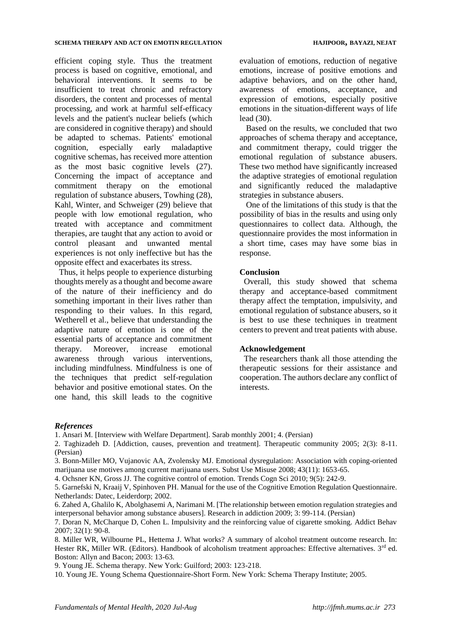efficient coping style. Thus the treatment process is based on cognitive, emotional, and behavioral interventions. It seems to be insufficient to treat chronic and refractory disorders, the content and processes of mental processing, and work at harmful self-efficacy levels and the patient's nuclear beliefs (which are considered in cognitive therapy) and should be adapted to schemas. Patients' emotional cognition, especially early maladaptive cognitive schemas, has received more attention as the most basic cognitive levels (27). Concerning the impact of acceptance and commitment therapy on the emotional regulation of substance abusers, Towhing (28), Kahl, Winter, and Schweiger (29) believe that people with low emotional regulation, who treated with acceptance and commitment therapies, are taught that any action to avoid or control pleasant and unwanted mental experiences is not only ineffective but has the opposite effect and exacerbates its stress.

Thus, it helps people to experience disturbing thoughts merely as a thought and become aware of the nature of their inefficiency and do something important in their lives rather than responding to their values. In this regard, Wetherell et al., believe that understanding the adaptive nature of emotion is one of the essential parts of acceptance and commitment therapy. Moreover, increase emotional awareness through various interventions, including mindfulness. Mindfulness is one of the techniques that predict self-regulation behavior and positive emotional states. On the one hand, this skill leads to the cognitive evaluation of emotions, reduction of negative emotions, increase of positive emotions and adaptive behaviors, and on the other hand, awareness of emotions, acceptance, and expression of emotions, especially positive emotions in the situation-different ways of life lead (30).

Based on the results, we concluded that two approaches of schema therapy and acceptance, and commitment therapy, could trigger the emotional regulation of substance abusers. These two method have significantly increased the adaptive strategies of emotional regulation and significantly reduced the maladaptive strategies in substance abusers.

One of the limitations of this study is that the possibility of bias in the results and using only questionnaires to collect data. Although, the questionnaire provides the most information in a short time, cases may have some bias in response.

## **Conclusion**

Overall, this study showed that schema therapy and acceptance-based commitment therapy affect the temptation, impulsivity, and emotional regulation of substance abusers, so it is best to use these techniques in treatment centers to prevent and treat patients with abuse.

## **Acknowledgement**

The researchers thank all those attending the therapeutic sessions for their assistance and cooperation. The authors declare any conflict of interests.

#### *References*

1. Ansari M. [Interview with Welfare Department]. Sarab monthly 2001; 4. (Persian)

2. Taghizadeh D. [Addiction, causes, prevention and treatment]. Therapeutic community 2005; 2(3): 8-11. (Persian)

3. Bonn-Miller MO, Vujanovic AA, Zvolensky MJ. Emotional dysregulation: Association with coping-oriented marijuana use motives among current marijuana users. Subst Use Misuse 2008; 43(11): 1653-65.

4. Ochsner KN, Gross JJ. The cognitive control of emotion. Trends Cogn Sci 2010; 9(5): 242-9.

8. Miller WR, Wilbourne PL, Hettema J. What works? A summary of alcohol treatment outcome research. In: Hester RK, Miller WR. (Editors). Handbook of alcoholism treatment approaches: Effective alternatives. 3<sup>rd</sup> ed. Boston: Allyn and Bacon; 2003: 13-63.

9. Young JE. Schema therapy. New York: Guilford; 2003: 123-218.

10. Young JE. Young Schema Questionnaire-Short Form. New York: Schema Therapy Institute; 2005.

<sup>5.</sup> Garnefski N, Kraaij V, Spinhoven PH. Manual for the use of the Cognitive Emotion Regulation Questionnaire. Netherlands: Datec, Leiderdorp; 2002.

<sup>6.</sup> Zahed A, Ghalilo K, Abolghasemi A, Narimani M. [The relationship between emotion regulation strategies and interpersonal behavior among substance abusers]. Research in addiction 2009; 3: 99-114. (Persian)

<sup>7.</sup> Doran N, McCharque D, Cohen L. Impulsivity and the reinforcing value of cigarette smoking. Addict Behav 2007; 32(1): 90-8.